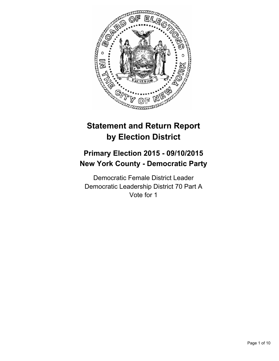

# **Statement and Return Report by Election District**

## **Primary Election 2015 - 09/10/2015 New York County - Democratic Party**

Democratic Female District Leader Democratic Leadership District 70 Part A Vote for 1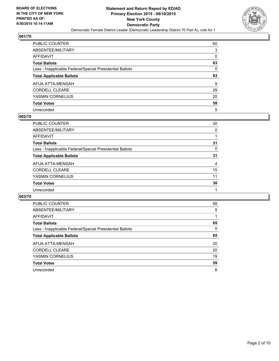

| PUBLIC COUNTER                                           | 60 |
|----------------------------------------------------------|----|
| ABSENTEE/MILITARY                                        | 3  |
| AFFIDAVIT                                                | 0  |
| Total Ballots                                            | 63 |
| Less - Inapplicable Federal/Special Presidential Ballots | 0  |
| <b>Total Applicable Ballots</b>                          | 63 |
| AFUA ATTA-MENSAH                                         | 9  |
| CORDELL CLEARE                                           | 29 |
| YASMIN CORNELIUS                                         | 20 |
| Total Votes                                              | 58 |
| Unrecorded                                               | 5  |

#### **002/70**

| <b>PUBLIC COUNTER</b>                                    | 30 |
|----------------------------------------------------------|----|
| ABSENTEE/MILITARY                                        | 0  |
| <b>AFFIDAVIT</b>                                         |    |
| <b>Total Ballots</b>                                     | 31 |
| Less - Inapplicable Federal/Special Presidential Ballots | 0  |
| <b>Total Applicable Ballots</b>                          | 31 |
| AFUA ATTA-MENSAH                                         | 4  |
| <b>CORDELL CLEARE</b>                                    | 15 |
| YASMIN CORNELIUS                                         | 11 |
| <b>Total Votes</b>                                       | 30 |
| Unrecorded                                               |    |
|                                                          |    |

| <b>PUBLIC COUNTER</b>                                    | 59 |
|----------------------------------------------------------|----|
| ABSENTEE/MILITARY                                        | 5  |
| AFFIDAVIT                                                |    |
| <b>Total Ballots</b>                                     | 65 |
| Less - Inapplicable Federal/Special Presidential Ballots | 0  |
| <b>Total Applicable Ballots</b>                          | 65 |
| AFUA ATTA-MENSAH                                         | 20 |
| <b>CORDELL CLEARE</b>                                    | 20 |
| YASMIN CORNELIUS                                         | 19 |
| <b>Total Votes</b>                                       | 59 |
| Unrecorded                                               | 6  |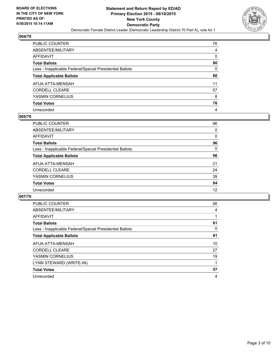

| PUBLIC COUNTER                                           | 76 |
|----------------------------------------------------------|----|
| ABSENTEE/MILITARY                                        | 4  |
| AFFIDAVIT                                                | 0  |
| <b>Total Ballots</b>                                     | 80 |
| Less - Inapplicable Federal/Special Presidential Ballots | 0  |
| <b>Total Applicable Ballots</b>                          | 80 |
| AFUA ATTA-MENSAH                                         | 11 |
| CORDELL CLEARE                                           | 57 |
| YASMIN CORNELIUS                                         | 8  |
| <b>Total Votes</b>                                       | 76 |
| Unrecorded                                               | 4  |

#### **005/70**

| PUBLIC COUNTER                                           | 96 |
|----------------------------------------------------------|----|
| ABSENTEE/MILITARY                                        | 0  |
| AFFIDAVIT                                                | 0  |
| <b>Total Ballots</b>                                     | 96 |
| Less - Inapplicable Federal/Special Presidential Ballots | 0  |
| <b>Total Applicable Ballots</b>                          | 96 |
| AFUA ATTA-MENSAH                                         | 21 |
| <b>CORDELL CLEARE</b>                                    | 24 |
| YASMIN CORNELIUS                                         | 39 |
| <b>Total Votes</b>                                       | 84 |
| Unrecorded                                               | 12 |
|                                                          |    |

| <b>PUBLIC COUNTER</b>                                    | 56 |
|----------------------------------------------------------|----|
| ABSENTEE/MILITARY                                        | 4  |
| AFFIDAVIT                                                |    |
| <b>Total Ballots</b>                                     | 61 |
| Less - Inapplicable Federal/Special Presidential Ballots | 0  |
| <b>Total Applicable Ballots</b>                          | 61 |
| AFUA ATTA-MENSAH                                         | 10 |
| <b>CORDELL CLEARE</b>                                    | 27 |
| YASMIN CORNELIUS                                         | 19 |
| LYNN STEWARD (WRITE-IN)                                  |    |
| <b>Total Votes</b>                                       | 57 |
| Unrecorded                                               | 4  |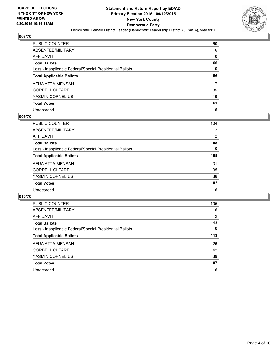

| PUBLIC COUNTER                                           | 60 |
|----------------------------------------------------------|----|
| ABSENTEE/MILITARY                                        | 6  |
| AFFIDAVIT                                                | 0  |
| Total Ballots                                            | 66 |
| Less - Inapplicable Federal/Special Presidential Ballots | 0  |
| <b>Total Applicable Ballots</b>                          | 66 |
| AFUA ATTA-MENSAH                                         | 7  |
| CORDELL CLEARE                                           | 35 |
| YASMIN CORNELIUS                                         | 19 |
| Total Votes                                              | 61 |
| Unrecorded                                               | 5  |

#### **009/70**

| <b>PUBLIC COUNTER</b>                                    | 104            |
|----------------------------------------------------------|----------------|
| ABSENTEE/MILITARY                                        | $\overline{2}$ |
| AFFIDAVIT                                                | $\overline{2}$ |
| <b>Total Ballots</b>                                     | 108            |
| Less - Inapplicable Federal/Special Presidential Ballots | 0              |
| <b>Total Applicable Ballots</b>                          | 108            |
| AFUA ATTA-MENSAH                                         | 31             |
| <b>CORDELL CLEARE</b>                                    | 35             |
| YASMIN CORNELIUS                                         | 36             |
| <b>Total Votes</b>                                       | 102            |
| Unrecorded                                               | 6              |
|                                                          |                |

| <b>PUBLIC COUNTER</b>                                    | 105            |
|----------------------------------------------------------|----------------|
| ABSENTEE/MILITARY                                        | 6              |
| AFFIDAVIT                                                | $\overline{2}$ |
| <b>Total Ballots</b>                                     | 113            |
| Less - Inapplicable Federal/Special Presidential Ballots | 0              |
| <b>Total Applicable Ballots</b>                          | 113            |
| AFUA ATTA-MENSAH                                         | 26             |
| <b>CORDELL CLEARE</b>                                    | 42             |
| YASMIN CORNELIUS                                         | 39             |
| <b>Total Votes</b>                                       | 107            |
| Unrecorded                                               | 6              |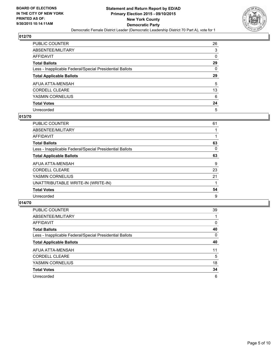

| PUBLIC COUNTER                                           | 26       |
|----------------------------------------------------------|----------|
| ABSENTEE/MILITARY                                        | 3        |
| AFFIDAVIT                                                | $\Omega$ |
| <b>Total Ballots</b>                                     | 29       |
| Less - Inapplicable Federal/Special Presidential Ballots | 0        |
| <b>Total Applicable Ballots</b>                          | 29       |
| AFUA ATTA-MENSAH                                         | 5        |
| <b>CORDELL CLEARE</b>                                    | 13       |
| YASMIN CORNELIUS                                         | 6        |
| <b>Total Votes</b>                                       | 24       |
| Unrecorded                                               | 5        |

## **013/70**

| PUBLIC COUNTER                                           | 61 |
|----------------------------------------------------------|----|
| ABSENTEE/MILITARY                                        |    |
| <b>AFFIDAVIT</b>                                         |    |
| <b>Total Ballots</b>                                     | 63 |
| Less - Inapplicable Federal/Special Presidential Ballots | 0  |
| <b>Total Applicable Ballots</b>                          | 63 |
| AFUA ATTA-MENSAH                                         | 9  |
| <b>CORDELL CLEARE</b>                                    | 23 |
| YASMIN CORNELIUS                                         | 21 |
| UNATTRIBUTABLE WRITE-IN (WRITE-IN)                       |    |
| <b>Total Votes</b>                                       | 54 |
| Unrecorded                                               | 9  |
|                                                          |    |

| <b>PUBLIC COUNTER</b>                                    | 39 |
|----------------------------------------------------------|----|
| ABSENTEE/MILITARY                                        |    |
| AFFIDAVIT                                                | 0  |
| <b>Total Ballots</b>                                     | 40 |
| Less - Inapplicable Federal/Special Presidential Ballots | 0  |
| <b>Total Applicable Ballots</b>                          | 40 |
| AFUA ATTA-MENSAH                                         | 11 |
| <b>CORDELL CLEARE</b>                                    | 5  |
| YASMIN CORNELIUS                                         | 18 |
| <b>Total Votes</b>                                       | 34 |
| Unrecorded                                               | 6  |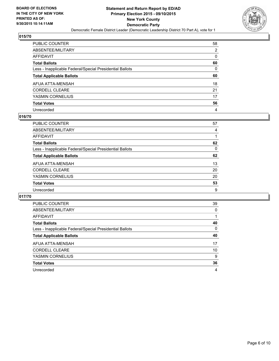

| PUBLIC COUNTER                                           | 58 |
|----------------------------------------------------------|----|
| ABSENTEE/MILITARY                                        | 2  |
| AFFIDAVIT                                                | 0  |
| Total Ballots                                            | 60 |
| Less - Inapplicable Federal/Special Presidential Ballots | 0  |
| <b>Total Applicable Ballots</b>                          | 60 |
| AFUA ATTA-MENSAH                                         | 18 |
| CORDELL CLEARE                                           | 21 |
| YASMIN CORNELIUS                                         | 17 |
| <b>Total Votes</b>                                       | 56 |
| Unrecorded                                               | 4  |

#### **016/70**

| <b>PUBLIC COUNTER</b>                                    | 57 |
|----------------------------------------------------------|----|
| ABSENTEE/MILITARY                                        | 4  |
| <b>AFFIDAVIT</b>                                         |    |
| <b>Total Ballots</b>                                     | 62 |
| Less - Inapplicable Federal/Special Presidential Ballots | 0  |
| <b>Total Applicable Ballots</b>                          | 62 |
| AFUA ATTA-MENSAH                                         | 13 |
| <b>CORDELL CLEARE</b>                                    | 20 |
| YASMIN CORNELIUS                                         | 20 |
| <b>Total Votes</b>                                       | 53 |
| Unrecorded                                               | 9  |
|                                                          |    |

| <b>PUBLIC COUNTER</b>                                    | 39 |
|----------------------------------------------------------|----|
| ABSENTEE/MILITARY                                        | 0  |
| AFFIDAVIT                                                |    |
| <b>Total Ballots</b>                                     | 40 |
| Less - Inapplicable Federal/Special Presidential Ballots | 0  |
| <b>Total Applicable Ballots</b>                          | 40 |
| AFUA ATTA-MENSAH                                         | 17 |
| <b>CORDELL CLEARE</b>                                    | 10 |
| YASMIN CORNELIUS                                         | 9  |
| <b>Total Votes</b>                                       | 36 |
| Unrecorded                                               | 4  |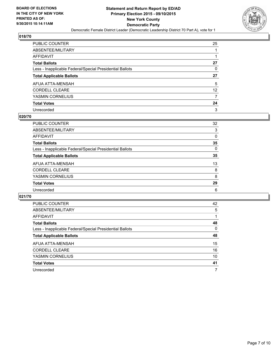

| PUBLIC COUNTER                                           | 25              |
|----------------------------------------------------------|-----------------|
| ABSENTEE/MILITARY                                        |                 |
| AFFIDAVIT                                                |                 |
| Total Ballots                                            | 27              |
| Less - Inapplicable Federal/Special Presidential Ballots | 0               |
| <b>Total Applicable Ballots</b>                          | 27              |
| AFUA ATTA-MENSAH                                         | 5               |
| CORDELL CLEARE                                           | 12 <sup>°</sup> |
| YASMIN CORNELIUS                                         | 7               |
| <b>Total Votes</b>                                       | 24              |
| Unrecorded                                               | 3               |

#### **020/70**

| <b>PUBLIC COUNTER</b>                                    | 32       |
|----------------------------------------------------------|----------|
| ABSENTEE/MILITARY                                        | 3        |
| <b>AFFIDAVIT</b>                                         | 0        |
| <b>Total Ballots</b>                                     | 35       |
| Less - Inapplicable Federal/Special Presidential Ballots | $\Omega$ |
| <b>Total Applicable Ballots</b>                          | 35       |
| AFUA ATTA-MENSAH                                         | 13       |
| <b>CORDELL CLEARE</b>                                    | 8        |
| YASMIN CORNELIUS                                         | 8        |
| <b>Total Votes</b>                                       | 29       |
| Unrecorded                                               | 6        |
|                                                          |          |

| <b>PUBLIC COUNTER</b>                                    | 42 |
|----------------------------------------------------------|----|
| ABSENTEE/MILITARY                                        | 5  |
| AFFIDAVIT                                                |    |
| <b>Total Ballots</b>                                     | 48 |
| Less - Inapplicable Federal/Special Presidential Ballots | 0  |
| <b>Total Applicable Ballots</b>                          | 48 |
| AFUA ATTA-MENSAH                                         | 15 |
| <b>CORDELL CLEARE</b>                                    | 16 |
| YASMIN CORNELIUS                                         | 10 |
| <b>Total Votes</b>                                       | 41 |
| Unrecorded                                               | 7  |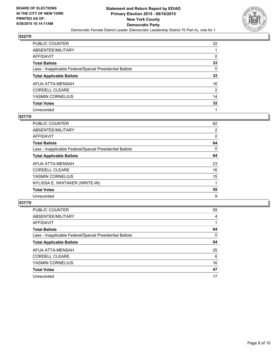

| PUBLIC COUNTER                                           | 32              |
|----------------------------------------------------------|-----------------|
| ABSENTEE/MILITARY                                        |                 |
| AFFIDAVIT                                                | 0               |
| Total Ballots                                            | 33              |
| Less - Inapplicable Federal/Special Presidential Ballots | $\mathbf{0}$    |
| <b>Total Applicable Ballots</b>                          | 33              |
| AFUA ATTA-MENSAH                                         | 16              |
| <b>CORDELL CLEARE</b>                                    | 2               |
| YASMIN CORNELIUS                                         | 14              |
| <b>Total Votes</b>                                       | $32\phantom{a}$ |
| Unrecorded                                               |                 |

#### **027/70**

| <b>PUBLIC COUNTER</b>                                    | 62 |
|----------------------------------------------------------|----|
| ABSENTEE/MILITARY                                        | 2  |
| <b>AFFIDAVIT</b>                                         | 0  |
| <b>Total Ballots</b>                                     | 64 |
| Less - Inapplicable Federal/Special Presidential Ballots | 0  |
| <b>Total Applicable Ballots</b>                          | 64 |
| AFUA ATTA-MENSAH                                         | 23 |
| <b>CORDELL CLEARE</b>                                    | 16 |
| YASMIN CORNELIUS                                         | 15 |
| NYLISSA E. WHITAKER (WRITE-IN)                           |    |
| <b>Total Votes</b>                                       | 55 |
| Unrecorded                                               | 9  |
|                                                          |    |

| PUBLIC COUNTER                                           | 59 |
|----------------------------------------------------------|----|
| ABSENTEE/MILITARY                                        | 4  |
| AFFIDAVIT                                                |    |
| <b>Total Ballots</b>                                     | 64 |
| Less - Inapplicable Federal/Special Presidential Ballots | 0  |
| <b>Total Applicable Ballots</b>                          | 64 |
| AFUA ATTA-MENSAH                                         | 25 |
| <b>CORDELL CLEARE</b>                                    | 6  |
| YASMIN CORNELIUS                                         | 16 |
| <b>Total Votes</b>                                       | 47 |
| Unrecorded                                               | 17 |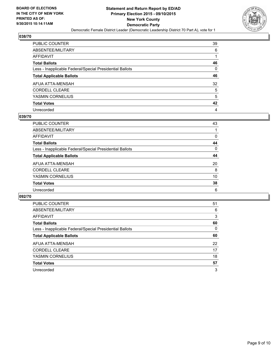

| PUBLIC COUNTER                                           | 39 |
|----------------------------------------------------------|----|
| ABSENTEE/MILITARY                                        | 6  |
| AFFIDAVIT                                                | 1  |
| Total Ballots                                            | 46 |
| Less - Inapplicable Federal/Special Presidential Ballots | 0  |
| <b>Total Applicable Ballots</b>                          | 46 |
| AFUA ATTA-MENSAH                                         | 32 |
| CORDELL CLEARE                                           | 5  |
| YASMIN CORNELIUS                                         | 5  |
| <b>Total Votes</b>                                       | 42 |
| Unrecorded                                               | 4  |

#### **039/70**

| <b>PUBLIC COUNTER</b>                                    | 43 |
|----------------------------------------------------------|----|
| ABSENTEE/MILITARY                                        |    |
| <b>AFFIDAVIT</b>                                         | 0  |
| <b>Total Ballots</b>                                     | 44 |
| Less - Inapplicable Federal/Special Presidential Ballots | 0  |
| <b>Total Applicable Ballots</b>                          | 44 |
| AFUA ATTA-MENSAH                                         | 20 |
| <b>CORDELL CLEARE</b>                                    | 8  |
| YASMIN CORNELIUS                                         | 10 |
| <b>Total Votes</b>                                       | 38 |
| Unrecorded                                               | 6  |
|                                                          |    |

| <b>PUBLIC COUNTER</b>                                    | 51 |
|----------------------------------------------------------|----|
| ABSENTEE/MILITARY                                        | 6  |
| AFFIDAVIT                                                | 3  |
| <b>Total Ballots</b>                                     | 60 |
| Less - Inapplicable Federal/Special Presidential Ballots | 0  |
| <b>Total Applicable Ballots</b>                          | 60 |
| AFUA ATTA-MENSAH                                         | 22 |
| <b>CORDELL CLEARE</b>                                    | 17 |
| YASMIN CORNELIUS                                         | 18 |
| <b>Total Votes</b>                                       | 57 |
| Unrecorded                                               | 3  |